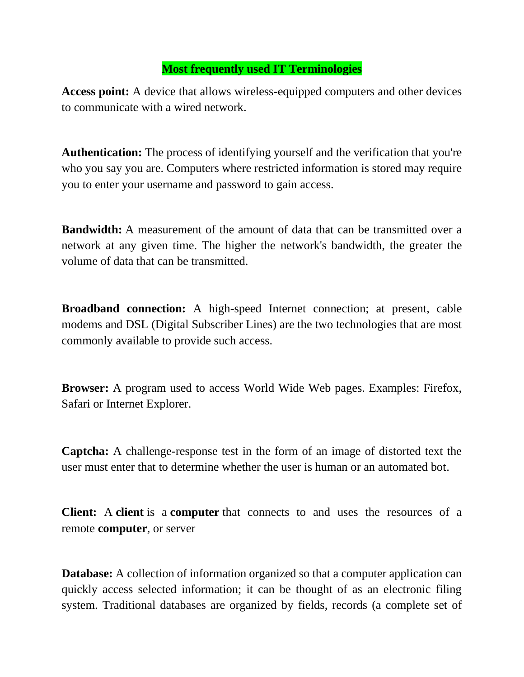## **Most frequently used IT Terminologies**

**Access point:** A device that allows wireless-equipped computers and other devices to communicate with a wired network.

**Authentication:** The process of identifying yourself and the verification that you're who you say you are. Computers where restricted information is stored may require you to enter your username and password to gain access.

**Bandwidth:** A measurement of the amount of data that can be transmitted over a network at any given time. The higher the network's bandwidth, the greater the volume of data that can be transmitted.

**Broadband connection:** A high-speed Internet connection; at present, cable modems and DSL (Digital Subscriber Lines) are the two technologies that are most commonly available to provide such access.

**Browser:** A program used to access World Wide Web pages. Examples: Firefox, Safari or Internet Explorer.

**Captcha:** A challenge-response test in the form of an image of distorted text the user must enter that to determine whether the user is human or an automated bot.

**Client:** A **client** is a **computer** that connects to and uses the resources of a remote **computer**, or server

**Database:** A collection of information organized so that a computer application can quickly access selected information; it can be thought of as an electronic filing system. Traditional databases are organized by fields, records (a complete set of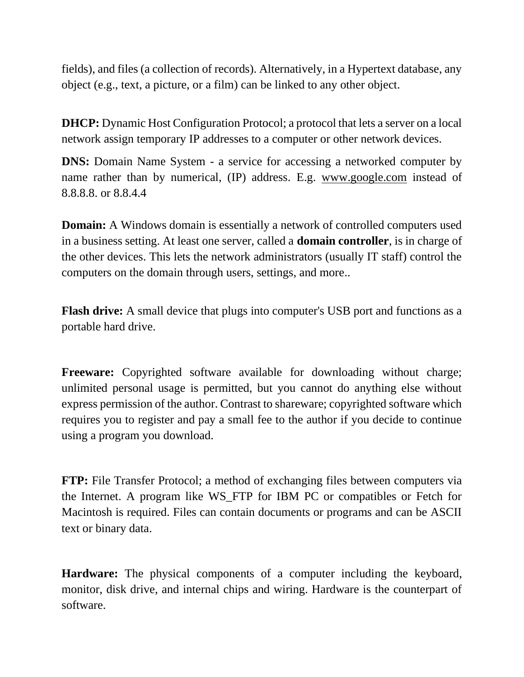fields), and files (a collection of records). Alternatively, in a Hypertext database, any object (e.g., text, a picture, or a film) can be linked to any other object.

**DHCP:** Dynamic Host Configuration Protocol; a protocol that lets a server on a local network assign temporary IP addresses to a computer or other network devices.

**DNS:** Domain Name System - a service for accessing a networked computer by name rather than by numerical, (IP) address. E.g. [www.google.com](http://www.google.com/) instead of 8.8.8.8. or 8.8.4.4

**Domain:** A Windows domain is essentially a network of controlled computers used in a business setting. At least one server, called a **domain controller**, is in charge of the other devices. This lets the network administrators (usually IT staff) control the computers on the domain through users, settings, and more..

**Flash drive:** A small device that plugs into computer's USB port and functions as a portable hard drive.

**Freeware:** Copyrighted software available for downloading without charge; unlimited personal usage is permitted, but you cannot do anything else without express permission of the author. Contrast to shareware; copyrighted software which requires you to register and pay a small fee to the author if you decide to continue using a program you download.

**FTP:** File Transfer Protocol; a method of exchanging files between computers via the Internet. A program like WS\_FTP for IBM PC or compatibles or Fetch for Macintosh is required. Files can contain documents or programs and can be ASCII text or binary data.

**Hardware:** The physical components of a computer including the keyboard, monitor, disk drive, and internal chips and wiring. Hardware is the counterpart of software.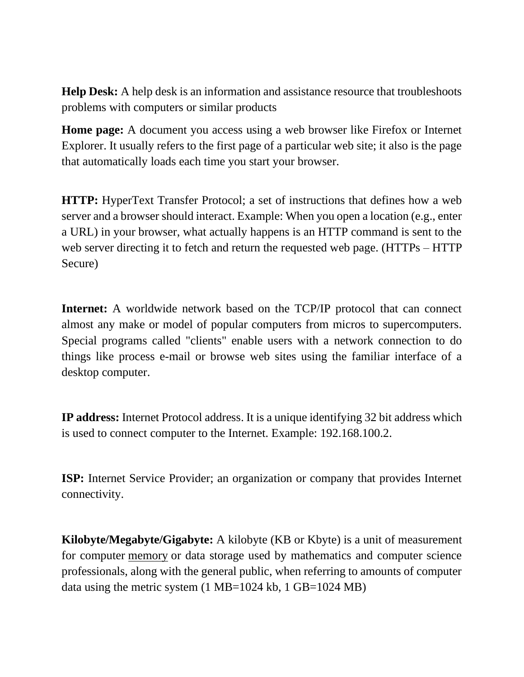**Help Desk:** A help desk is an information and assistance resource that troubleshoots problems with computers or similar products

**Home page:** A document you access using a web browser like Firefox or Internet Explorer. It usually refers to the first page of a particular web site; it also is the page that automatically loads each time you start your browser.

**HTTP:** HyperText Transfer Protocol; a set of instructions that defines how a web server and a browser should interact. Example: When you open a location (e.g., enter a URL) in your browser, what actually happens is an HTTP command is sent to the web server directing it to fetch and return the requested web page. (HTTPs – HTTP) Secure)

**Internet:** A worldwide network based on the TCP/IP protocol that can connect almost any make or model of popular computers from micros to supercomputers. Special programs called "clients" enable users with a network connection to do things like process e-mail or browse web sites using the familiar interface of a desktop computer.

**IP address:** Internet Protocol address. It is a unique identifying 32 bit address which is used to connect computer to the Internet. Example: 192.168.100.2.

**ISP:** Internet Service Provider; an organization or company that provides Internet connectivity.

**Kilobyte/Megabyte/Gigabyte:** A kilobyte (KB or Kbyte) is a unit of measurement for computer [memory](https://searchstorage.techtarget.com/definition/memory-card) or data storage used by mathematics and computer science professionals, along with the general public, when referring to amounts of computer data using the metric system (1 MB=1024 kb, 1 GB=1024 MB)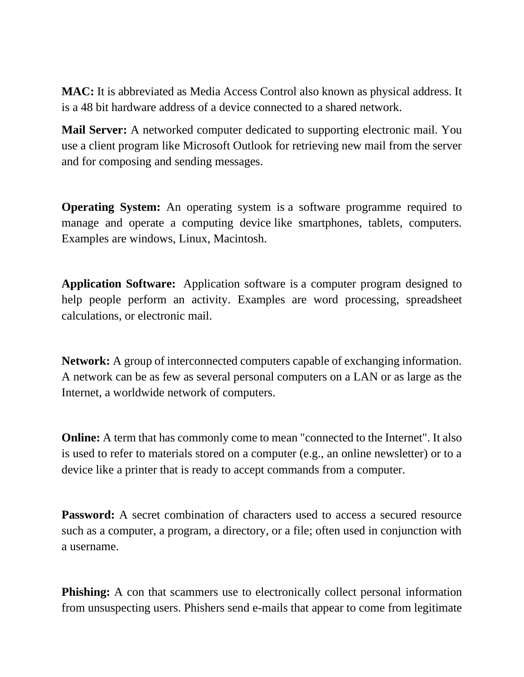**MAC:** It is abbreviated as Media Access Control also known as physical address. It is a 48 bit hardware address of a device connected to a shared network.

**Mail Server:** A networked computer dedicated to supporting electronic mail. You use a client program like Microsoft Outlook for retrieving new mail from the server and for composing and sending messages.

**Operating System:** An operating system is a software programme required to manage and operate a computing device like smartphones, tablets, computers. Examples are windows, Linux, Macintosh.

**Application Software:** Application software is a computer program designed to help people perform an activity. Examples are word processing, spreadsheet calculations, or electronic mail.

**Network:** A group of interconnected computers capable of exchanging information. A network can be as few as several personal computers on a LAN or as large as the Internet, a worldwide network of computers.

**Online:** A term that has commonly come to mean "connected to the Internet". It also is used to refer to materials stored on a computer (e.g., an online newsletter) or to a device like a printer that is ready to accept commands from a computer.

**Password:** A secret combination of characters used to access a secured resource such as a computer, a program, a directory, or a file; often used in conjunction with a username.

**Phishing:** A con that scammers use to electronically collect personal information from unsuspecting users. Phishers send e-mails that appear to come from legitimate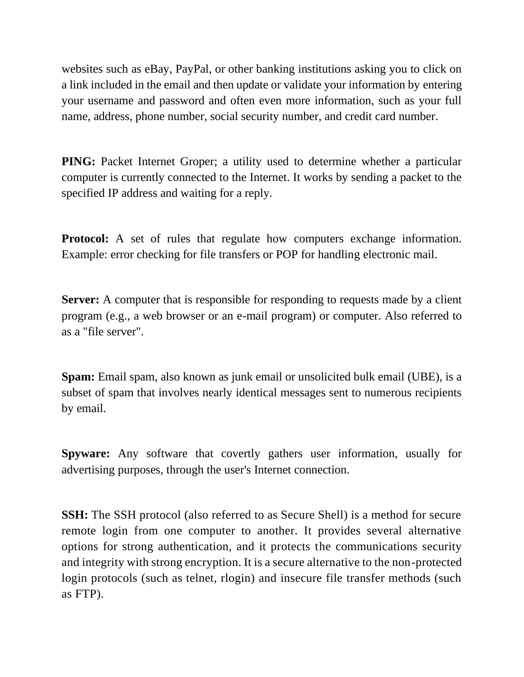websites such as eBay, PayPal, or other banking institutions asking you to click on a link included in the email and then update or validate your information by entering your username and password and often even more information, such as your full name, address, phone number, social security number, and credit card number.

**PING:** Packet Internet Groper; a utility used to determine whether a particular computer is currently connected to the Internet. It works by sending a packet to the specified IP address and waiting for a reply.

**Protocol:** A set of rules that regulate how computers exchange information. Example: error checking for file transfers or POP for handling electronic mail.

**Server:** A computer that is responsible for responding to requests made by a client program (e.g., a web browser or an e-mail program) or computer. Also referred to as a "file server".

**Spam:** Email spam, also known as junk email or unsolicited bulk email (UBE), is a subset of spam that involves nearly identical messages sent to numerous recipients by email.

**Spyware:** Any software that covertly gathers user information, usually for advertising purposes, through the user's Internet connection.

**SSH:** The SSH protocol (also referred to as Secure Shell) is a method for secure remote login from one computer to another. It provides several alternative options for strong authentication, and it protects the communications security and integrity with strong encryption. It is a secure alternative to the non-protected login protocols (such as telnet, rlogin) and insecure file transfer methods (such as FTP).